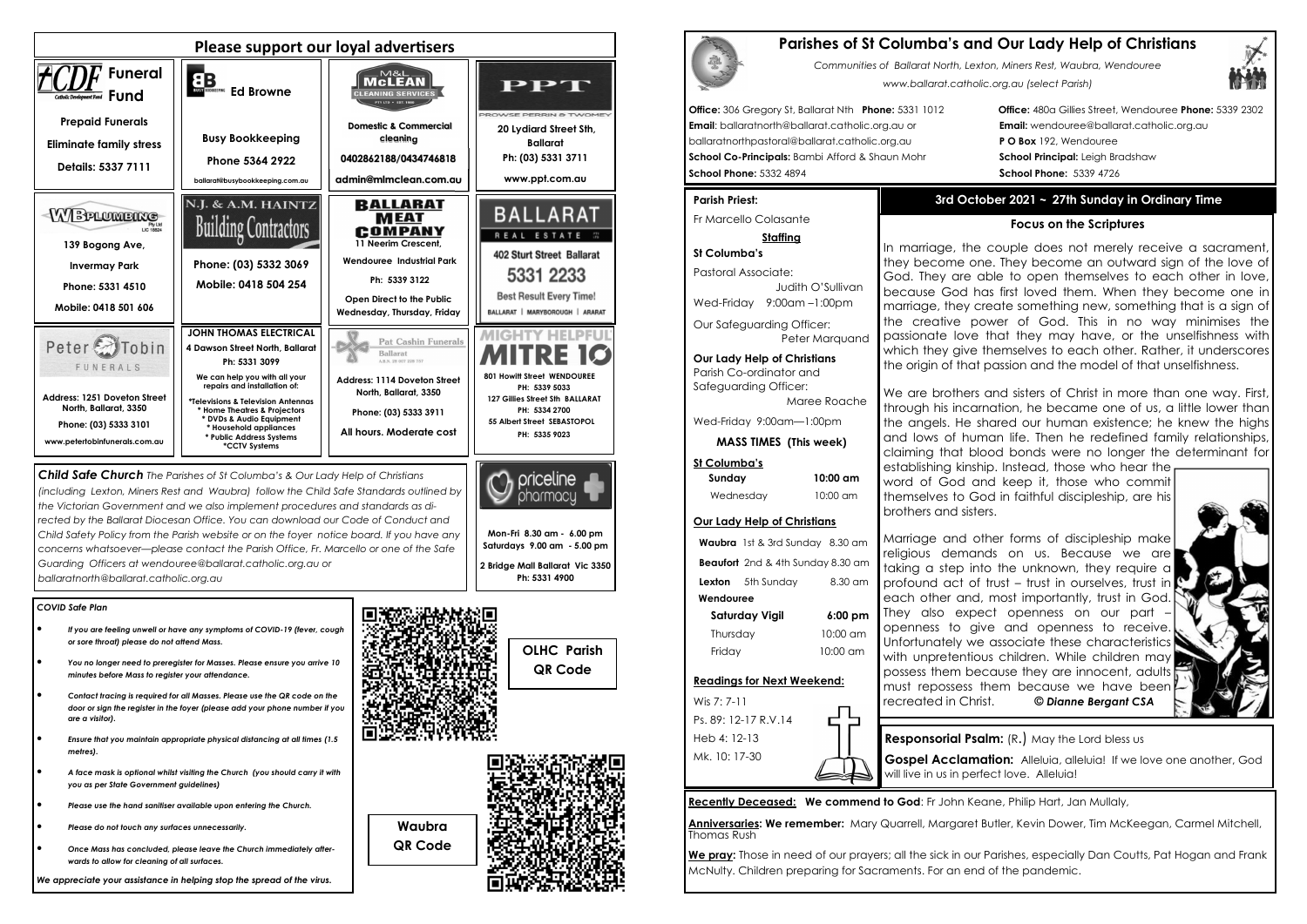### *COVID Safe Plan*

- *If you are feeling unwell or have any symptoms of COVID-19 (fever, cough or sore throat) please do not attend Mass.*
- *You no longer need to preregister for Masses. Please ensure you arrive 10 minutes before Mass to register your attendance.*
- *Contact tracing is required for all Masses. Please use the QR code on the door or sign the register in the foyer (please add your phone number if you are a visitor).*
- *Ensure that you maintain appropriate physical distancing at all times (1.5 metres).*
- *A face mask is optional whilst visiting the Church (you should carry it with you as per State Government guidelines)*
- *Please use the hand sanitiser available upon entering the Church.*
- *Please do not touch any surfaces unnecessarily.*
- *Once Mass has concluded, please leave the Church immediately afterwards to allow for cleaning of all surfaces.*



*We appreciate your assistance in helping stop the spread of the virus.*



*the Victorian Government and we also implement procedures and standards as directed by the Ballarat Diocesan Office. You can download our Code of Conduct and Child Safety Policy from the Parish website or on the foyer notice board. If you have any concerns whatsoever—please contact the Parish Office, Fr. Marcello or one of the Safe Guarding Officers at wendouree@ballarat.catholic.org.au or ballaratnorth@ballarat.catholic.org.au* 

**Sunday 10:00 am** $10:00 \text{ cm}$ Wednesday

**Mon-Fri 8.30 am - 6.00 pm Saturdays 9.00 am - 5.00 pm 2 Bridge Mall Ballarat Vic 3350 Ph: 5331 4900** 



We pray: Those in need of our prayers; all the sick in our Parishes, especially Dan Coutts, Pat Hogan and Frank McNulty. Children preparing for Sacraments. For an end of the pandemic.



We are brothers and sisters of Christ in more than one way. First, through his incarnation, he became one of us, a little lower than the angels. He shared our human existence; he knew the highs and lows of human life. Then he redefined family relationships, claiming that blood bonds were no longer the determinant for



**Waubra QR Code** 

# **Parishes of St Columba's and Our Lady Help of Christians**

*Communities of Ballarat North, Lexton, Miners Rest, Waubra, Wendouree www.ballarat.catholic.org.au (select Parish)* 

**Office:** 306 Gregory St, Ballarat Nth **Phone:** 5331 1012 **Office:** 480a Gillies Street, Wendouree **Phone:** 5339 2302

**Email**: ballaratnorth@ballarat.catholic.org.au or **Email:** wendouree@ballarat.catholic.org.au ballaratnorthpastoral@ballarat.catholic.org.au **P O Box** 192, Wendouree **School Co-Principals:** Bambi Afford & Shaun Mohr **School Principal:** Leigh Bradshaw **School Phone:** 5332 4894 **School Phone:** 5339 4726

### **Parish Priest:**

Fr Marcello Colasante

### **Staffing**

**St Columba's** Pastoral Associate: Judith O'SullivanWed-Friday 9:00am –1:00pm

Our Safeguarding Officer: Peter Marquand

**Our Lady Help of Christians**Parish Co-ordinator and Safeguarding Officer:

 Maree Roache Wed-Friday 9:00am—1:00pm

**MASS TIMES (This week)**

**St Columba's** 

### **Our Lady Help of Christians**

**Waubra** 1st & 3rd Sunday 8.30 am **Beaufort** 2nd & 4th Sunday 8.30 am **Lexton** 5th Sunday 8.30 am  **WendoureeSaturday Vigil 6:00 pm**

 Thursday 10:00 am Friday 10:00 am

### **Readings for Next Weekend:**

Wis 7: 7-11 Ps. 89: 12-17 R.V.14 Heb 4: 12-13 Mk. 10: 17-30

will live in us in perfect love. Alleluia!

**Recently Deceased: We commend to God**: Fr John Keane, Philip Hart, Jan Mullaly,

**Anniversaries: We remember:** Mary Quarrell, Margaret Butler, Kevin Dower, Tim McKeegan, Carmel Mitchell, Thomas Rush

## **3rd October 2021 ~ 27th Sunday in Ordinary Time**

### **Focus on the Scriptures**

In marriage, the couple does not merely receive a sacrament, they become one. They become an outward sign of the love of God. They are able to open themselves to each other in love, because God has first loved them. When they become one in marriage, they create something new, something that is a sign of the creative power of God. This in no way minimises the passionate love that they may have, or the unselfishness with which they give themselves to each other. Rather, it underscores the origin of that passion and the model of that unselfishness.

establishing kinship. Instead, those who hear the word of God and keep it, those who commit themselves to God in faithful discipleship, are hisbrothers and sisters.

Marriage and other forms of discipleship make religious demands on us. Because we are taking a step into the unknown, they require a profound act of trust – trust in ourselves, trust in each other and, most importantly, trust in God. They also expect openness on our part openness to give and openness to receive. Unfortunately we associate these characteristics with unpretentious children. While children may possess them because they are innocent, adults must repossess them because we have been recreated in Christ. *© Dianne Bergant CSA*



**Responsorial Psalm:** (R.) May the Lord bless us

**Gospel Acclamation:** Alleluia, alleluia! If we love one another, God